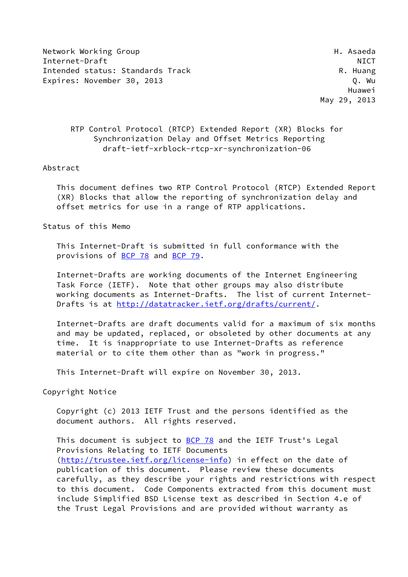Network Working Group Network Asseda Internet-Draft NICT Intended status: Standards Track R. Huang Expires: November 30, 2013 C. Wu

 Huawei May 29, 2013

# RTP Control Protocol (RTCP) Extended Report (XR) Blocks for Synchronization Delay and Offset Metrics Reporting draft-ietf-xrblock-rtcp-xr-synchronization-06

#### Abstract

 This document defines two RTP Control Protocol (RTCP) Extended Report (XR) Blocks that allow the reporting of synchronization delay and offset metrics for use in a range of RTP applications.

Status of this Memo

 This Internet-Draft is submitted in full conformance with the provisions of [BCP 78](https://datatracker.ietf.org/doc/pdf/bcp78) and [BCP 79](https://datatracker.ietf.org/doc/pdf/bcp79).

 Internet-Drafts are working documents of the Internet Engineering Task Force (IETF). Note that other groups may also distribute working documents as Internet-Drafts. The list of current Internet Drafts is at<http://datatracker.ietf.org/drafts/current/>.

 Internet-Drafts are draft documents valid for a maximum of six months and may be updated, replaced, or obsoleted by other documents at any time. It is inappropriate to use Internet-Drafts as reference material or to cite them other than as "work in progress."

This Internet-Draft will expire on November 30, 2013.

Copyright Notice

 Copyright (c) 2013 IETF Trust and the persons identified as the document authors. All rights reserved.

This document is subject to [BCP 78](https://datatracker.ietf.org/doc/pdf/bcp78) and the IETF Trust's Legal Provisions Relating to IETF Documents [\(http://trustee.ietf.org/license-info](http://trustee.ietf.org/license-info)) in effect on the date of publication of this document. Please review these documents carefully, as they describe your rights and restrictions with respect to this document. Code Components extracted from this document must include Simplified BSD License text as described in Section 4.e of the Trust Legal Provisions and are provided without warranty as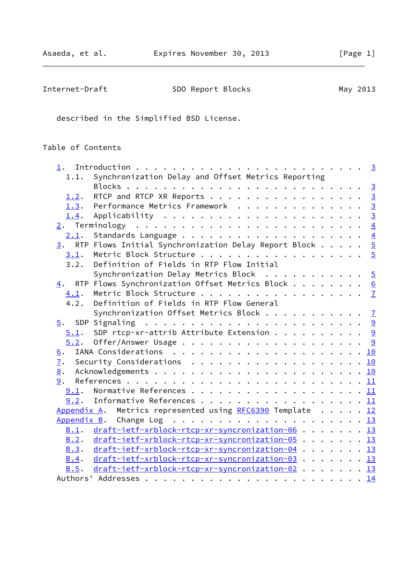| Internet-Draft | SDO Report Blocks | May 2013 |
|----------------|-------------------|----------|
|----------------|-------------------|----------|

described in the Simplified BSD License.

# Table of Contents

|      | 1.1. Synchronization Delay and Offset Metrics Reporting                  |  |  |  |  |
|------|--------------------------------------------------------------------------|--|--|--|--|
|      |                                                                          |  |  |  |  |
| 1.2. | RTCP and RTCP XR Reports 3                                               |  |  |  |  |
| 1.3. | Performance Metrics Framework 3                                          |  |  |  |  |
| 1.4. |                                                                          |  |  |  |  |
|      |                                                                          |  |  |  |  |
|      |                                                                          |  |  |  |  |
|      | $\underline{3}$ . RTP Flows Initial Synchronization Delay Report Block 5 |  |  |  |  |
| 3.1. | Metric Block Structure 5                                                 |  |  |  |  |
|      | 3.2. Definition of Fields in RTP Flow Initial                            |  |  |  |  |
|      | Synchronization Delay Metrics Block $\cdots \cdots \cdots$               |  |  |  |  |
|      | 4. RTP Flows Synchronization Offset Metrics Block 6                      |  |  |  |  |
| 4.1. |                                                                          |  |  |  |  |
| 4.2. | Definition of Fields in RTP Flow General                                 |  |  |  |  |
|      | Synchronization Offset Metrics Block $\frac{7}{2}$                       |  |  |  |  |
|      |                                                                          |  |  |  |  |
|      | $5.1$ . SDP rtcp-xr-attrib Attribute Extension 9                         |  |  |  |  |
|      |                                                                          |  |  |  |  |
| 6.   |                                                                          |  |  |  |  |
|      | 7. Security Considerations 10                                            |  |  |  |  |
| 8.   |                                                                          |  |  |  |  |
| 9.   |                                                                          |  |  |  |  |
|      | <u>9.1</u> . Normative References 11                                     |  |  |  |  |
|      | 9.2. Informative References 11                                           |  |  |  |  |
|      | Appendix A. Metrics represented using RFC6390 Template 12                |  |  |  |  |
|      |                                                                          |  |  |  |  |
|      | B.1. draft-ietf-xrblock-rtcp-xr-syncronization-06 13                     |  |  |  |  |
| B.2. | draft-ietf-xrblock-rtcp-xr-syncronization-05 13                          |  |  |  |  |
| B.3. | draft-ietf-xrblock-rtcp-xr-syncronization-04 13                          |  |  |  |  |
|      | B.4. draft-ietf-xrblock-rtcp-xr-syncronization-03 13                     |  |  |  |  |
|      | B.5. draft-ietf-xrblock-rtcp-xr-syncronization-02 13                     |  |  |  |  |
|      |                                                                          |  |  |  |  |
|      |                                                                          |  |  |  |  |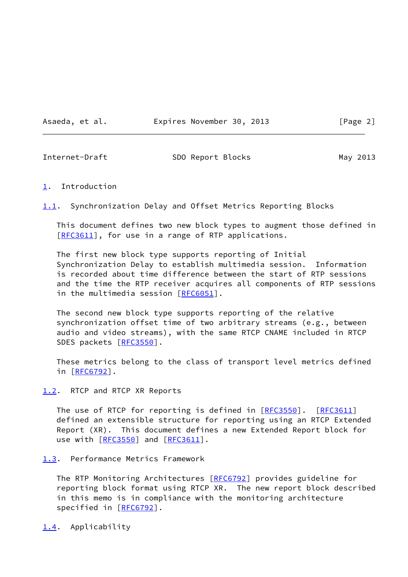Asaeda, et al. **Expires November 30, 2013** [Page 2]

<span id="page-2-1"></span>Internet-Draft SDO Report Blocks May 2013

### <span id="page-2-0"></span>[1](#page-2-0). Introduction

<span id="page-2-5"></span>[1.1](#page-2-5). Synchronization Delay and Offset Metrics Reporting Blocks

 This document defines two new block types to augment those defined in [\[RFC3611](https://datatracker.ietf.org/doc/pdf/rfc3611)], for use in a range of RTP applications.

 The first new block type supports reporting of Initial Synchronization Delay to establish multimedia session. Information is recorded about time difference between the start of RTP sessions and the time the RTP receiver acquires all components of RTP sessions in the multimedia session [[RFC6051](https://datatracker.ietf.org/doc/pdf/rfc6051)].

 The second new block type supports reporting of the relative synchronization offset time of two arbitrary streams (e.g., between audio and video streams), with the same RTCP CNAME included in RTCP SDES packets [\[RFC3550](https://datatracker.ietf.org/doc/pdf/rfc3550)].

 These metrics belong to the class of transport level metrics defined in [[RFC6792\]](https://datatracker.ietf.org/doc/pdf/rfc6792).

<span id="page-2-2"></span>[1.2](#page-2-2). RTCP and RTCP XR Reports

The use of RTCP for reporting is defined in [\[RFC3550](https://datatracker.ietf.org/doc/pdf/rfc3550)]. [\[RFC3611](https://datatracker.ietf.org/doc/pdf/rfc3611)] defined an extensible structure for reporting using an RTCP Extended Report (XR). This document defines a new Extended Report block for use with [\[RFC3550](https://datatracker.ietf.org/doc/pdf/rfc3550)] and [\[RFC3611](https://datatracker.ietf.org/doc/pdf/rfc3611)].

<span id="page-2-3"></span>[1.3](#page-2-3). Performance Metrics Framework

The RTP Monitoring Architectures [\[RFC6792](https://datatracker.ietf.org/doc/pdf/rfc6792)] provides guideline for reporting block format using RTCP XR. The new report block described in this memo is in compliance with the monitoring architecture specified in [\[RFC6792](https://datatracker.ietf.org/doc/pdf/rfc6792)].

<span id="page-2-4"></span>[1.4](#page-2-4). Applicability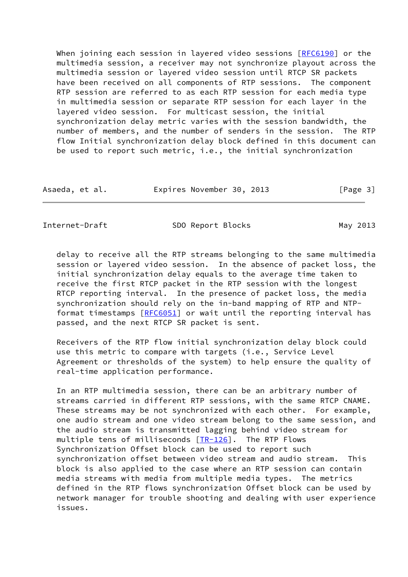When joining each session in layered video sessions [\[RFC6190](https://datatracker.ietf.org/doc/pdf/rfc6190)] or the multimedia session, a receiver may not synchronize playout across the multimedia session or layered video session until RTCP SR packets have been received on all components of RTP sessions. The component RTP session are referred to as each RTP session for each media type in multimedia session or separate RTP session for each layer in the layered video session. For multicast session, the initial synchronization delay metric varies with the session bandwidth, the number of members, and the number of senders in the session. The RTP flow Initial synchronization delay block defined in this document can be used to report such metric, i.e., the initial synchronization

| Asaeda, et al. |  | Expires November 30, 2013 |  | [Page 3] |  |
|----------------|--|---------------------------|--|----------|--|
|----------------|--|---------------------------|--|----------|--|

<span id="page-3-0"></span>Internet-Draft SDO Report Blocks May 2013

 delay to receive all the RTP streams belonging to the same multimedia session or layered video session. In the absence of packet loss, the initial synchronization delay equals to the average time taken to receive the first RTCP packet in the RTP session with the longest RTCP reporting interval. In the presence of packet loss, the media synchronization should rely on the in-band mapping of RTP and NTP- format timestamps [[RFC6051](https://datatracker.ietf.org/doc/pdf/rfc6051)] or wait until the reporting interval has passed, and the next RTCP SR packet is sent.

 Receivers of the RTP flow initial synchronization delay block could use this metric to compare with targets (i.e., Service Level Agreement or thresholds of the system) to help ensure the quality of real-time application performance.

 In an RTP multimedia session, there can be an arbitrary number of streams carried in different RTP sessions, with the same RTCP CNAME. These streams may be not synchronized with each other. For example, one audio stream and one video stream belong to the same session, and the audio stream is transmitted lagging behind video stream for multiple tens of milliseconds [[TR-126](#page-12-3)]. The RTP Flows Synchronization Offset block can be used to report such synchronization offset between video stream and audio stream. This block is also applied to the case where an RTP session can contain media streams with media from multiple media types. The metrics defined in the RTP flows synchronization Offset block can be used by network manager for trouble shooting and dealing with user experience issues.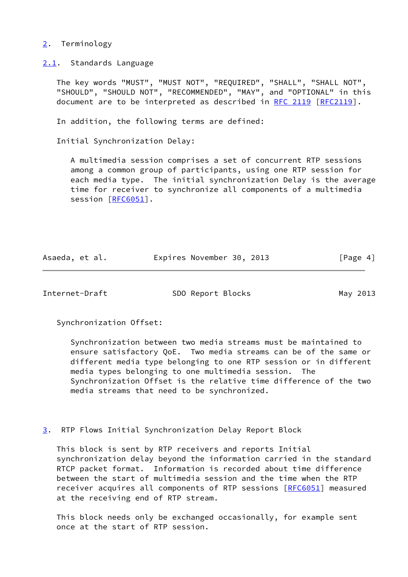## <span id="page-4-0"></span>[2](#page-4-0). Terminology

<span id="page-4-1"></span>[2.1](#page-4-1). Standards Language

 The key words "MUST", "MUST NOT", "REQUIRED", "SHALL", "SHALL NOT", "SHOULD", "SHOULD NOT", "RECOMMENDED", "MAY", and "OPTIONAL" in this document are to be interpreted as described in [RFC 2119 \[RFC2119](https://datatracker.ietf.org/doc/pdf/rfc2119)].

In addition, the following terms are defined:

Initial Synchronization Delay:

 A multimedia session comprises a set of concurrent RTP sessions among a common group of participants, using one RTP session for each media type. The initial synchronization Delay is the average time for receiver to synchronize all components of a multimedia session [[RFC6051\]](https://datatracker.ietf.org/doc/pdf/rfc6051).

| Asaeda, et al. | Expires November 30, 2013 |  | [Page 4] |
|----------------|---------------------------|--|----------|
|----------------|---------------------------|--|----------|

<span id="page-4-3"></span>Internet-Draft SDO Report Blocks May 2013

Synchronization Offset:

 Synchronization between two media streams must be maintained to ensure satisfactory QoE. Two media streams can be of the same or different media type belonging to one RTP session or in different media types belonging to one multimedia session. The Synchronization Offset is the relative time difference of the two media streams that need to be synchronized.

<span id="page-4-2"></span>[3](#page-4-2). RTP Flows Initial Synchronization Delay Report Block

 This block is sent by RTP receivers and reports Initial synchronization delay beyond the information carried in the standard RTCP packet format. Information is recorded about time difference between the start of multimedia session and the time when the RTP receiver acquires all components of RTP sessions [\[RFC6051](https://datatracker.ietf.org/doc/pdf/rfc6051)] measured at the receiving end of RTP stream.

 This block needs only be exchanged occasionally, for example sent once at the start of RTP session.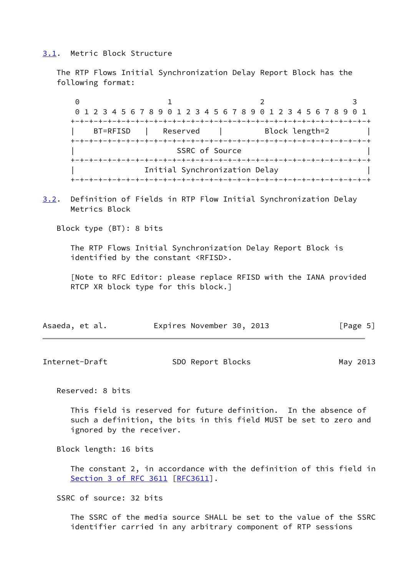### <span id="page-5-0"></span>[3.1](#page-5-0). Metric Block Structure

 The RTP Flows Initial Synchronization Delay Report Block has the following format:

0 1 2 3 0 1 2 3 4 5 6 7 8 9 0 1 2 3 4 5 6 7 8 9 0 1 2 3 4 5 6 7 8 9 0 1 +-+-+-+-+-+-+-+-+-+-+-+-+-+-+-+-+-+-+-+-+-+-+-+-+-+-+-+-+-+-+-+-+ BT=RFISD | Reserved | Block length=2 +-+-+-+-+-+-+-+-+-+-+-+-+-+-+-+-+-+-+-+-+-+-+-+-+-+-+-+-+-+-+-+-+ SSRC of Source +-+-+-+-+-+-+-+-+-+-+-+-+-+-+-+-+-+-+-+-+-+-+-+-+-+-+-+-+-+-+-+-+ | Initial Synchronization Delay | +-+-+-+-+-+-+-+-+-+-+-+-+-+-+-+-+-+-+-+-+-+-+-+-+-+-+-+-+-+-+-+-+

<span id="page-5-2"></span>[3.2](#page-5-2). Definition of Fields in RTP Flow Initial Synchronization Delay Metrics Block

Block type (BT): 8 bits

 The RTP Flows Initial Synchronization Delay Report Block is identified by the constant <RFISD>.

 [Note to RFC Editor: please replace RFISD with the IANA provided RTCP XR block type for this block.]

| Asaeda, et al. | Expires November 30, 2013 | [Page 5] |
|----------------|---------------------------|----------|
|----------------|---------------------------|----------|

<span id="page-5-1"></span>

| Internet-Draft<br>May 2013 |  | SDO Report Blocks |  |  |
|----------------------------|--|-------------------|--|--|
|----------------------------|--|-------------------|--|--|

Reserved: 8 bits

 This field is reserved for future definition. In the absence of such a definition, the bits in this field MUST be set to zero and ignored by the receiver.

Block length: 16 bits

 The constant 2, in accordance with the definition of this field in Section [3 of RFC 3611](https://datatracker.ietf.org/doc/pdf/rfc3611#section-3) [\[RFC3611](https://datatracker.ietf.org/doc/pdf/rfc3611)].

SSRC of source: 32 bits

 The SSRC of the media source SHALL be set to the value of the SSRC identifier carried in any arbitrary component of RTP sessions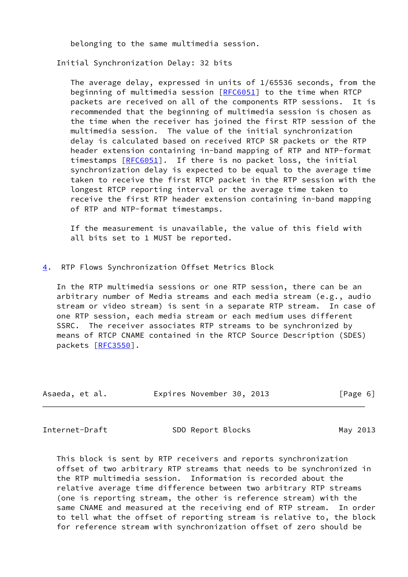belonging to the same multimedia session.

Initial Synchronization Delay: 32 bits

 The average delay, expressed in units of 1/65536 seconds, from the beginning of multimedia session [[RFC6051\]](https://datatracker.ietf.org/doc/pdf/rfc6051) to the time when RTCP packets are received on all of the components RTP sessions. It is recommended that the beginning of multimedia session is chosen as the time when the receiver has joined the first RTP session of the multimedia session. The value of the initial synchronization delay is calculated based on received RTCP SR packets or the RTP header extension containing in-band mapping of RTP and NTP-format timestamps [[RFC6051](https://datatracker.ietf.org/doc/pdf/rfc6051)]. If there is no packet loss, the initial synchronization delay is expected to be equal to the average time taken to receive the first RTCP packet in the RTP session with the longest RTCP reporting interval or the average time taken to receive the first RTP header extension containing in-band mapping of RTP and NTP-format timestamps.

 If the measurement is unavailable, the value of this field with all bits set to 1 MUST be reported.

### <span id="page-6-0"></span>[4](#page-6-0). RTP Flows Synchronization Offset Metrics Block

 In the RTP multimedia sessions or one RTP session, there can be an arbitrary number of Media streams and each media stream (e.g., audio stream or video stream) is sent in a separate RTP stream. In case of one RTP session, each media stream or each medium uses different SSRC. The receiver associates RTP streams to be synchronized by means of RTCP CNAME contained in the RTCP Source Description (SDES) packets [\[RFC3550](https://datatracker.ietf.org/doc/pdf/rfc3550)].

| Asaeda, et al. | Expires November 30, 2013 | [Page 6] |
|----------------|---------------------------|----------|
|                |                           |          |

<span id="page-6-1"></span>

Internet-Draft SDO Report Blocks May 2013

 This block is sent by RTP receivers and reports synchronization offset of two arbitrary RTP streams that needs to be synchronized in the RTP multimedia session. Information is recorded about the relative average time difference between two arbitrary RTP streams (one is reporting stream, the other is reference stream) with the same CNAME and measured at the receiving end of RTP stream. In order to tell what the offset of reporting stream is relative to, the block for reference stream with synchronization offset of zero should be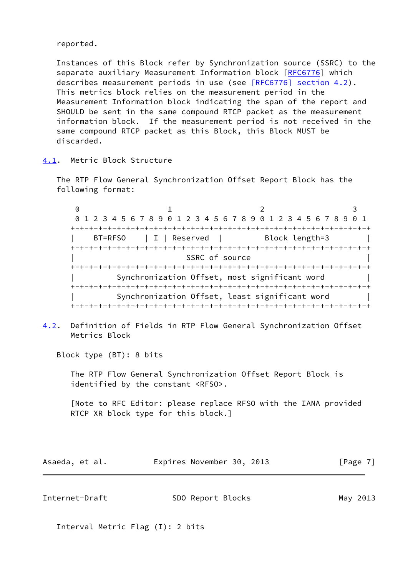reported.

 Instances of this Block refer by Synchronization source (SSRC) to the separate auxiliary Measurement Information block [\[RFC6776](https://datatracker.ietf.org/doc/pdf/rfc6776)] which describes measurement periods in use (see [\[RFC6776\] section](https://datatracker.ietf.org/doc/pdf/rfc6776#section-4.2) 4.2). This metrics block relies on the measurement period in the Measurement Information block indicating the span of the report and SHOULD be sent in the same compound RTCP packet as the measurement information block. If the measurement period is not received in the same compound RTCP packet as this Block, this Block MUST be discarded.

<span id="page-7-0"></span>[4.1](#page-7-0). Metric Block Structure

 The RTP Flow General Synchronization Offset Report Block has the following format:

0 1 2 3 0 1 2 3 4 5 6 7 8 9 0 1 2 3 4 5 6 7 8 9 0 1 2 3 4 5 6 7 8 9 0 1 +-+-+-+-+-+-+-+-+-+-+-+-+-+-+-+-+-+-+-+-+-+-+-+-+-+-+-+-+-+-+-+-+ BT=RFSO | I | Reserved | Block length=3 +-+-+-+-+-+-+-+-+-+-+-+-+-+-+-+-+-+-+-+-+-+-+-+-+-+-+-+-+-+-+-+-+ SSRC of source +-+-+-+-+-+-+-+-+-+-+-+-+-+-+-+-+-+-+-+-+-+-+-+-+-+-+-+-+-+-+-+-+ Synchronization Offset, most significant word +-+-+-+-+-+-+-+-+-+-+-+-+-+-+-+-+-+-+-+-+-+-+-+-+-+-+-+-+-+-+-+-+ Synchronization Offset, least significant word | +-+-+-+-+-+-+-+-+-+-+-+-+-+-+-+-+-+-+-+-+-+-+-+-+-+-+-+-+-+-+-+-+

<span id="page-7-1"></span>[4.2](#page-7-1). Definition of Fields in RTP Flow General Synchronization Offset Metrics Block

Block type (BT): 8 bits

 The RTP Flow General Synchronization Offset Report Block is identified by the constant <RFSO>.

 [Note to RFC Editor: please replace RFSO with the IANA provided RTCP XR block type for this block.]

| Asaeda, et al. | Expires November 30, 2013 | [Page 7] |
|----------------|---------------------------|----------|
|----------------|---------------------------|----------|

| Internet-Draft | SDO Report Blocks | May 2013 |
|----------------|-------------------|----------|
|                |                   |          |

Interval Metric Flag (I): 2 bits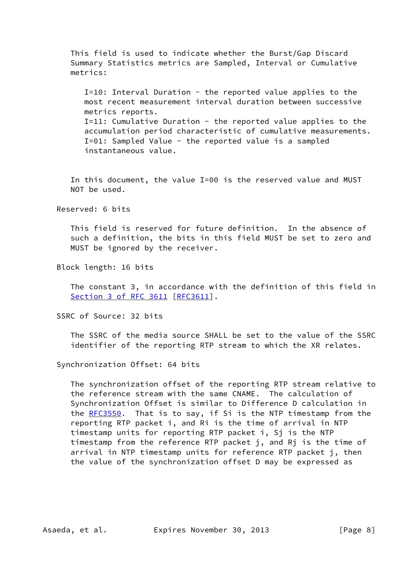This field is used to indicate whether the Burst/Gap Discard Summary Statistics metrics are Sampled, Interval or Cumulative metrics:

 I=10: Interval Duration - the reported value applies to the most recent measurement interval duration between successive metrics reports. I=11: Cumulative Duration - the reported value applies to the accumulation period characteristic of cumulative measurements. I=01: Sampled Value - the reported value is a sampled instantaneous value.

 In this document, the value I=00 is the reserved value and MUST NOT be used.

Reserved: 6 bits

 This field is reserved for future definition. In the absence of such a definition, the bits in this field MUST be set to zero and MUST be ignored by the receiver.

Block length: 16 bits

 The constant 3, in accordance with the definition of this field in Section [3 of RFC 3611](https://datatracker.ietf.org/doc/pdf/rfc3611#section-3) [\[RFC3611](https://datatracker.ietf.org/doc/pdf/rfc3611)].

SSRC of Source: 32 bits

 The SSRC of the media source SHALL be set to the value of the SSRC identifier of the reporting RTP stream to which the XR relates.

Synchronization Offset: 64 bits

 The synchronization offset of the reporting RTP stream relative to the reference stream with the same CNAME. The calculation of Synchronization Offset is similar to Difference D calculation in the [RFC3550](https://datatracker.ietf.org/doc/pdf/rfc3550). That is to say, if Si is the NTP timestamp from the reporting RTP packet i, and Ri is the time of arrival in NTP timestamp units for reporting RTP packet i, Sj is the NTP timestamp from the reference RTP packet j, and Rj is the time of arrival in NTP timestamp units for reference RTP packet j, then the value of the synchronization offset D may be expressed as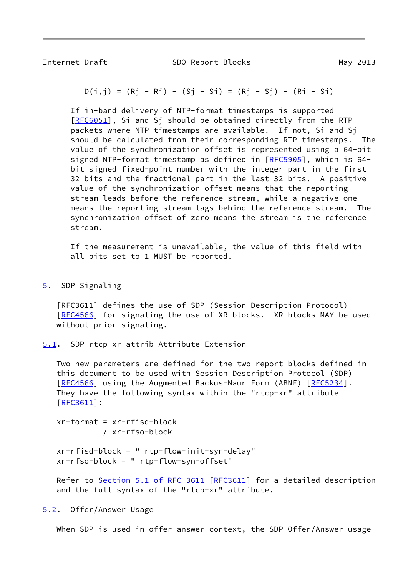<span id="page-9-1"></span>

Internet-Draft SDO Report Blocks May 2013

$$
D(i,j) = (Rj - Ri) - (Sj - Si) = (Rj - Sj) - (Ri - Si)
$$

 If in-band delivery of NTP-format timestamps is supported [[RFC6051\]](https://datatracker.ietf.org/doc/pdf/rfc6051), Si and Sj should be obtained directly from the RTP packets where NTP timestamps are available. If not, Si and Sj should be calculated from their corresponding RTP timestamps. The value of the synchronization offset is represented using a 64-bit signed NTP-format timestamp as defined in [\[RFC5905](https://datatracker.ietf.org/doc/pdf/rfc5905)], which is 64 bit signed fixed-point number with the integer part in the first 32 bits and the fractional part in the last 32 bits. A positive value of the synchronization offset means that the reporting stream leads before the reference stream, while a negative one means the reporting stream lags behind the reference stream. The synchronization offset of zero means the stream is the reference stream.

 If the measurement is unavailable, the value of this field with all bits set to 1 MUST be reported.

<span id="page-9-0"></span>[5](#page-9-0). SDP Signaling

 [RFC3611] defines the use of SDP (Session Description Protocol) [\[RFC4566](https://datatracker.ietf.org/doc/pdf/rfc4566)] for signaling the use of XR blocks. XR blocks MAY be used without prior signaling.

<span id="page-9-2"></span>[5.1](#page-9-2). SDP rtcp-xr-attrib Attribute Extension

 Two new parameters are defined for the two report blocks defined in this document to be used with Session Description Protocol (SDP) [\[RFC4566](https://datatracker.ietf.org/doc/pdf/rfc4566)] using the Augmented Backus-Naur Form (ABNF) [[RFC5234](https://datatracker.ietf.org/doc/pdf/rfc5234)]. They have the following syntax within the "rtcp-xr" attribute [\[RFC3611](https://datatracker.ietf.org/doc/pdf/rfc3611)]:

 xr-format = xr-rfisd-block / xr-rfso-block

 xr-rfisd-block = " rtp-flow-init-syn-delay" xr-rfso-block = " rtp-flow-syn-offset"

Refer to Section [5.1 of RFC 3611](https://datatracker.ietf.org/doc/pdf/rfc3611#section-5.1) [\[RFC3611](https://datatracker.ietf.org/doc/pdf/rfc3611)] for a detailed description and the full syntax of the "rtcp-xr" attribute.

<span id="page-9-3"></span>[5.2](#page-9-3). Offer/Answer Usage

When SDP is used in offer-answer context, the SDP Offer/Answer usage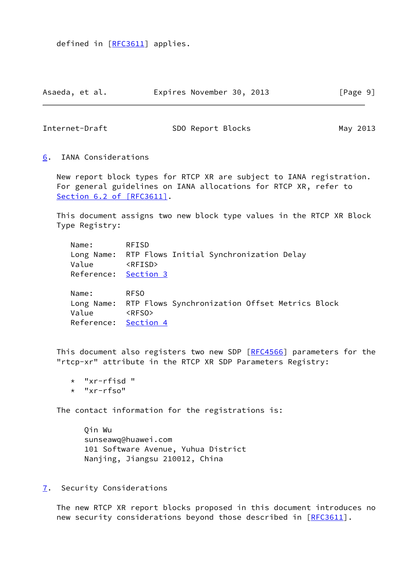defined in [[RFC3611\]](https://datatracker.ietf.org/doc/pdf/rfc3611) applies.

| Asaeda, et al. | Expires November 30, 2013 | [Page 9] |
|----------------|---------------------------|----------|
|----------------|---------------------------|----------|

<span id="page-10-1"></span>Internet-Draft SDO Report Blocks May 2013

<span id="page-10-0"></span>[6](#page-10-0). IANA Considerations

 New report block types for RTCP XR are subject to IANA registration. For general guidelines on IANA allocations for RTCP XR, refer to Section [6.2 of \[RFC3611\]](https://datatracker.ietf.org/doc/pdf/rfc3611#section-6.2).

 This document assigns two new block type values in the RTCP XR Block Type Registry:

 Name: RFISD Long Name: RTP Flows Initial Synchronization Delay Value <RFISD> Reference: [Section 3](#page-4-2)

 Name: RFSO Long Name: RTP Flows Synchronization Offset Metrics Block Value <RFSO> Reference: [Section 4](#page-6-0)

This document also registers two new SDP [\[RFC4566](https://datatracker.ietf.org/doc/pdf/rfc4566)] parameters for the "rtcp-xr" attribute in the RTCP XR SDP Parameters Registry:

- \* "xr-rfisd "
- \* "xr-rfso"

The contact information for the registrations is:

 Qin Wu sunseawq@huawei.com 101 Software Avenue, Yuhua District Nanjing, Jiangsu 210012, China

<span id="page-10-2"></span>[7](#page-10-2). Security Considerations

 The new RTCP XR report blocks proposed in this document introduces no new security considerations beyond those described in [[RFC3611](https://datatracker.ietf.org/doc/pdf/rfc3611)].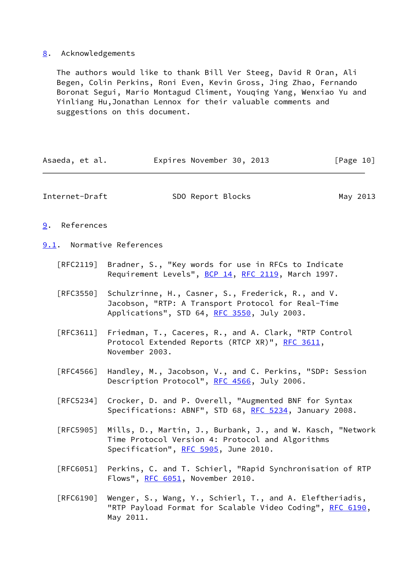# <span id="page-11-0"></span>[8](#page-11-0). Acknowledgements

 The authors would like to thank Bill Ver Steeg, David R Oran, Ali Begen, Colin Perkins, Roni Even, Kevin Gross, Jing Zhao, Fernando Boronat Segui, Mario Montagud Climent, Youqing Yang, Wenxiao Yu and Yinliang Hu,Jonathan Lennox for their valuable comments and suggestions on this document.

<span id="page-11-3"></span><span id="page-11-2"></span><span id="page-11-1"></span>

| Asaeda, et al.                   | Expires November 30, 2013                                                                                                                               | [Page 10] |
|----------------------------------|---------------------------------------------------------------------------------------------------------------------------------------------------------|-----------|
| Internet-Draft                   | SDO Report Blocks                                                                                                                                       | May 2013  |
| References<br>9.                 |                                                                                                                                                         |           |
|                                  | 9.1. Normative References                                                                                                                               |           |
| $\lceil \mathsf{RFC2119} \rceil$ | Bradner, S., "Key words for use in RFCs to Indicate<br>Requirement Levels", BCP 14, RFC 2119, March 1997.                                               |           |
| [REC3550]                        | Schulzrinne, H., Casner, S., Frederick, R., and V.<br>Jacobson, "RTP: A Transport Protocol for Real-Time<br>Applications", STD 64, RFC 3550, July 2003. |           |
| [RFC3611]                        | Friedman, T., Caceres, R., and A. Clark, "RTP Control<br>Protocol Extended Reports (RTCP XR)", RFC 3611,<br>November 2003.                              |           |
| [RFC4566]                        | Handley, M., Jacobson, V., and C. Perkins, "SDP: Session<br>Description Protocol", RFC 4566, July 2006.                                                 |           |
| [RFC5234]                        | Crocker, D. and P. Overell, "Augmented BNF for Syntax<br>Specifications: ABNF", STD 68, RFC 5234, January 2008.                                         |           |
| [RFC5905]                        | Mills, D., Martin, J., Burbank, J., and W. Kasch, "Network<br>Time Protocol Version 4: Protocol and Algorithms<br>Specification", RFC 5905, June 2010.  |           |
| [RFC6051]                        | Perkins, C. and T. Schierl, "Rapid Synchronisation of RTP<br>Flows", RFC 6051, November 2010.                                                           |           |
| [REG190]                         | Wenger, S., Wang, Y., Schierl, T., and A. Eleftheriadis,<br>"RTP Payload Format for Scalable Video Coding", RFC 6190,                                   |           |

May 2011.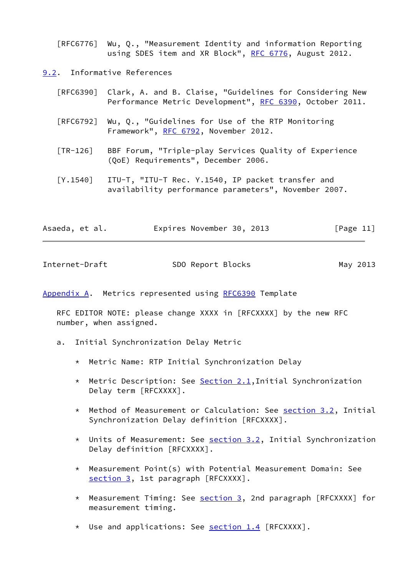[RFC6776] Wu, Q., "Measurement Identity and information Reporting using SDES item and XR Block", [RFC 6776](https://datatracker.ietf.org/doc/pdf/rfc6776), August 2012.

<span id="page-12-0"></span>[9.2](#page-12-0). Informative References

| [RFC6390] Clark, A. and B. Claise, "Guidelines for Considering New |
|--------------------------------------------------------------------|
| Performance Metric Development", RFC 6390, October 2011.           |

- [RFC6792] Wu, Q., "Guidelines for Use of the RTP Monitoring Framework", [RFC 6792,](https://datatracker.ietf.org/doc/pdf/rfc6792) November 2012.
- <span id="page-12-3"></span> [TR-126] BBF Forum, "Triple-play Services Quality of Experience (QoE) Requirements", December 2006.
- [Y.1540] ITU-T, "ITU-T Rec. Y.1540, IP packet transfer and availability performance parameters", November 2007.

| Asaeda, et al. | Expires November 30, 2013 | [Page 11] |
|----------------|---------------------------|-----------|
|                |                           |           |

<span id="page-12-2"></span>

| Internet-Draft | SDO Report Blocks | May 2013 |
|----------------|-------------------|----------|
|                |                   |          |

<span id="page-12-1"></span>[Appendix A.](#page-12-1) Metrics represented using [RFC6390](https://datatracker.ietf.org/doc/pdf/rfc6390) Template

 RFC EDITOR NOTE: please change XXXX in [RFCXXXX] by the new RFC number, when assigned.

- a. Initial Synchronization Delay Metric
	- \* Metric Name: RTP Initial Synchronization Delay
	- \* Metric Description: See [Section 2.1](#page-4-1), Initial Synchronization Delay term [RFCXXXX].
	- \* Method of Measurement or Calculation: See [section 3.2](#page-5-2), Initial Synchronization Delay definition [RFCXXXX].
	- \* Units of Measurement: See [section 3.2](#page-5-2), Initial Synchronization Delay definition [RFCXXXX].
	- \* Measurement Point(s) with Potential Measurement Domain: See [section 3,](#page-4-2) 1st paragraph [RFCXXXX].
	- \* Measurement Timing: See [section 3,](#page-4-2) 2nd paragraph [RFCXXXX] for measurement timing.
	- \* Use and applications: See **section 1.4** [RFCXXXX].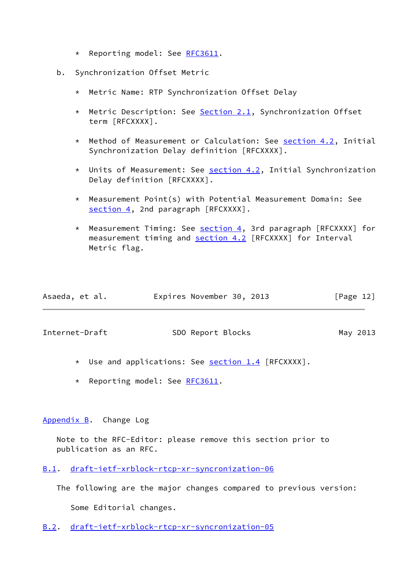- \* Reporting model: See [RFC3611.](https://datatracker.ietf.org/doc/pdf/rfc3611)
- b. Synchronization Offset Metric
	- \* Metric Name: RTP Synchronization Offset Delay
	- \* Metric Description: See [Section 2.1](#page-4-1), Synchronization Offset term [RFCXXXX].
	- \* Method of Measurement or Calculation: See [section 4.2](#page-7-1), Initial Synchronization Delay definition [RFCXXXX].
	- \* Units of Measurement: See [section 4.2](#page-7-1), Initial Synchronization Delay definition [RFCXXXX].
	- \* Measurement Point(s) with Potential Measurement Domain: See [section 4,](#page-6-0) 2nd paragraph [RFCXXXX].
	- \* Measurement Timing: See [section 4,](#page-6-0) 3rd paragraph [RFCXXXX] for measurement timing and [section 4.2](#page-7-1) [RFCXXXX] for Interval Metric flag.

| Asaeda, et al. | Expires November 30, 2013 |  | [Page 12] |  |
|----------------|---------------------------|--|-----------|--|
|                |                           |  |           |  |

<span id="page-13-1"></span>Internet-Draft SDO Report Blocks May 2013

- \* Use and applications: See [section 1.4](#page-2-4) [RFCXXXX].
- \* Reporting model: See [RFC3611.](https://datatracker.ietf.org/doc/pdf/rfc3611)

## <span id="page-13-0"></span>[Appendix B.](#page-13-0) Change Log

 Note to the RFC-Editor: please remove this section prior to publication as an RFC.

<span id="page-13-2"></span>[B.1](#page-13-2). [draft-ietf-xrblock-rtcp-xr-syncronization-06](https://datatracker.ietf.org/doc/pdf/draft-ietf-xrblock-rtcp-xr-syncronization-06)

The following are the major changes compared to previous version:

Some Editorial changes.

<span id="page-13-3"></span>[B.2](#page-13-3). [draft-ietf-xrblock-rtcp-xr-syncronization-05](https://datatracker.ietf.org/doc/pdf/draft-ietf-xrblock-rtcp-xr-syncronization-05)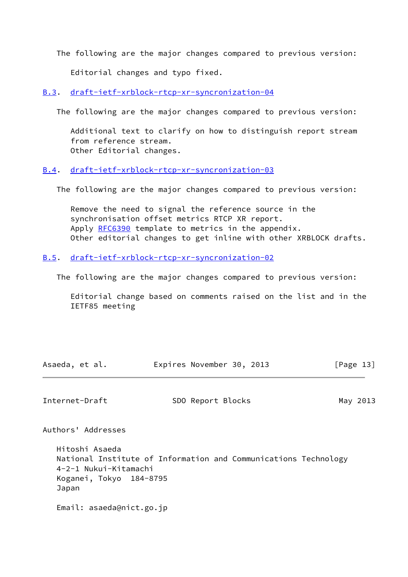The following are the major changes compared to previous version:

Editorial changes and typo fixed.

<span id="page-14-0"></span>[B.3](#page-14-0). [draft-ietf-xrblock-rtcp-xr-syncronization-04](https://datatracker.ietf.org/doc/pdf/draft-ietf-xrblock-rtcp-xr-syncronization-04)

The following are the major changes compared to previous version:

 Additional text to clarify on how to distinguish report stream from reference stream. Other Editorial changes.

<span id="page-14-1"></span>[B.4](#page-14-1). [draft-ietf-xrblock-rtcp-xr-syncronization-03](https://datatracker.ietf.org/doc/pdf/draft-ietf-xrblock-rtcp-xr-syncronization-03)

The following are the major changes compared to previous version:

 Remove the need to signal the reference source in the synchronisation offset metrics RTCP XR report. Apply [RFC6390](https://datatracker.ietf.org/doc/pdf/rfc6390) template to metrics in the appendix. Other editorial changes to get inline with other XRBLOCK drafts.

<span id="page-14-2"></span>[B.5](#page-14-2). [draft-ietf-xrblock-rtcp-xr-syncronization-02](https://datatracker.ietf.org/doc/pdf/draft-ietf-xrblock-rtcp-xr-syncronization-02)

The following are the major changes compared to previous version:

 Editorial change based on comments raised on the list and in the IETF85 meeting

| Asaeda, et al. | Expires November 30, 2013 |  | [Page 13] |
|----------------|---------------------------|--|-----------|
|                |                           |  |           |

<span id="page-14-3"></span>Internet-Draft SDO Report Blocks May 2013

Authors' Addresses

 Hitoshi Asaeda National Institute of Information and Communications Technology 4-2-1 Nukui-Kitamachi Koganei, Tokyo 184-8795 Japan

Email: asaeda@nict.go.jp